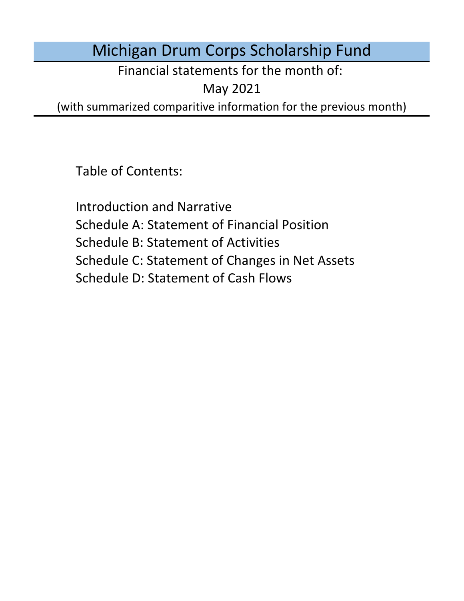# Michigan Drum Corps Scholarship Fund

Financial statements for the month of:

May 2021

(with summarized comparitive information for the previous month)

Table of Contents:

Schedule D: Statement of Cash Flows Introduction and Narrative Schedule A: Statement of Financial Position Schedule B: Statement of Activities Schedule C: Statement of Changes in Net Assets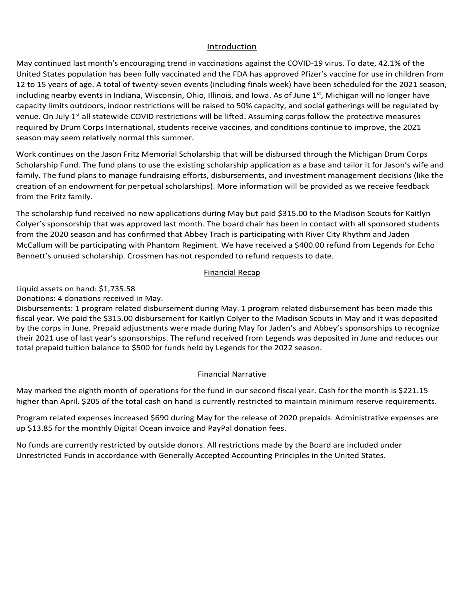### Introduction Introduction Introduction

Introduction<br>May continued last month's encouraging trend in vaccinations against the COVID-19 virus. To date, 42.1% of the Introduction<br>May continued last month's encouraging trend in vaccinations against the COVID-19 virus. To date, 42.1% of the<br>United States population has been fully vaccinated and the FDA has approved Pfizer's vaccine for u 12 to 15 years of age. A total of twenty-seven events (including finals week) have been scheduled for the 2021 season, including nearby events in Indiana, Wisconsin, Ohio, Illinois, and Iowa. As of June  $1<sup>st</sup>$ , Michigan will no longer have Capacity infits outdoors, muoor restrictions will be raised to 50% capacity, and social gatherings will be regulated by<br>venue. On July 1<sup>st</sup> all statewide COVID restrictions will be lifted. Assuming corps follow the protec equined by Brain Borps international, statemes receive vacance, and conditions commute to improve, the ECET<br>season may seem relatively normal this summer. Beason may seem relatively hormal this samment venue. On July 1<sup>st</sup> all statewide COVID restrictions will be lifted. Assuming corps follow the protective measures<br>required by Drum Corps International, students receive vaccines, and conditions continue to improve, the 2  $\mathsf{m}\in\mathbb{R}^n$  and  $\mathsf{m}\in\mathbb{R}^n$ capacity limits outdoors, indoor restrictions will be raised to 50% capacity, and social gatherings will be regulated by assignments, staff feedback, and a webinar series for members. Based on the quality and scale of the quality and scale of the their series for the quality and scale of the their series for the quality and scale of the thei has been fully vaccinated and the FDA has approved Pfizer's vaccine for use in children from<br>total of twenty-seven events (including finals week) have been scheduled for the 2021 season<br>Indiana, Wisconsin, Ohio, Illinois, ging trend in vaccinations against the COVID-19 virus. To date, 42.1% of the coupling waccinated and the FDA has approved Pfizer's vaccine for use in children fro<br>Hy-seven events (including finals week) have been scheduled 2020 season. Virtual events with the winter with summer and ensembles with traditional through the winter and ensembles with traditional media with traditional media with the winter and ensembles with traditional media wit required by Drum Corps International, students receive vaccines, and conditions continue to improve, the 2021 season may seem relatively required by Bruin corps international, students receive vacancy, and conditions continue to improve, the ECET<br>concon may coom relatively normal this summer. Delivery meeting, the board operations for the 2021 season to support Michigan students. season may seem relatively normal this summer.

season may seem relatively normal this summer.<br>Work continues on the Jason Fritz Memorial Scholarship that will be disbursed through the Michigan Drum Corps creation of an endowment for perpetual scholarships). More information will be provided as we receive feedbac<br>from the Fritz family.  $\alpha$  from the Fritz family. The fund under its declared fiscal year. Cash for the fund under its declared fiscal year. Cash for the fund under its declared fiscal year. Cash for the fund under its declared fiscal year. Ca Scholarship Fund. The fund plans to use the existing scholarship application as a base and tailor it for Jason's wife and Scholarship Fund. The fund plans to use the existing scholarship application as a base and tailor it for Jason's wife and<br>family. The fund plans to manage fundraising efforts, disbursements, and investment management decis creation of an endowment for perpetual scholarships). More information will be provided as we receive feedback<br>from the Fritz family. and outreach efforts, and online fundrational, and  $\alpha$  is simulated competition between  $\alpha$  $\ldots$  and the more difficult to find, and an increase  $\ldots$ on the Pfizer and Biontech and Biontech and Biontech and Biontech and Biontech and Covid-19 that was found to be prevent Covid-19 that was found to be a vaccine can did to be a vaccine can did to be a vaccine can did to be bent may seem relatively normal tims summer.<br>The significant positive disputes on the Jason Fritz Memorial Scholarship that will be disbursed through the Michigan Drum Corps<br>olarship Fund. The fund plans to use the existin periodiship randition rand plans to doe the existing scholarship application do a base dha tanor Reforment and<br>family The fund plans to manage fundraising effects, disbursements, and investment management desisions (like t the Crossmen and Characteristic The Collection of Collective and Collective auditions, monthly classes, and receive received the classes.<br>From the Crity family  $\sum_{i=1}^{n}$  respectively. River City Rhythm continues to  $\sum_{i=1}^{n}$  Representation Harmonies and Distant Harmonies and Distant Harmonies and Distant Harmonies and Distant Harmonies and Distant Harmonies and Distant Har platforms forms for manage funditually enoticy dissursements) and investment management decisions (like the Ph creation of an endowment for perpetual scholarships). More information will be provided as we receive feedback<br>from the Eritz family  $T_{\rm C}$  and  $T_{\rm C}$  and  $T_{\rm F}$  diagital platform for video auditions, and private auditions, and private  $T_{\rm C}$ ralled into diameters.<br>ing scholarship applicants, a<br>hips). More informaties.<br>is during May but paid family. The fund plans to manage fundraising efforts, disbursements, and investment management decisions (like the  $m$  onthe board chair has been in contact with all sponsored students from the 2020 season as we prepare for the 2020 season as we prepare for the 2020 season as we prepare for the 2020 season as we prepare for the 2020 s from the Fritz family. The creations (like the creation of an endowment for perpetual  $\mathbf{r}$ 

The scholarship fund received no new applications during May but paid \$315.00 to the Madison Scouts for Kaitlyn Colyer's sponsorship that was approved last month. The board chair has been in contact with all sponsored students from the 2020 season and has confirmed that Abbey Trach is participating with River City Rhythm and Jaden<br>McCallum will be participating with Phantom Regiment. We have received a \$400.00 refund from Legends for Ecl<br>Bennett expense to the business charged to the business are expended to the business are expenses are expenses are expe<br>Bennett's unused scholarship. Crossmen has not responded to refund requests to date. from the 2020 season and has confirmed that Abbey Trach is participating with River City Rhythm and Jaden<br>2008 Web 2011 IncCanum will be participating with Phantom Regiment. We have receive<br>Bennett's unused scholarship. Crossmen has not responded to refund re Bennett's unused scholarship. Crossinen has not res No decisions will be performing with matrion regardent. We have received a problemental non-experies for experience the 2021 season by Drum Corps International and we expect more guidance. The 2021 season by Drum Corps Int former stands of voluntame of vostment has not responded to refund requests to date. McCallum will be participating with Phantom Regiment. We have received a \$400.00 refund from Legends for Echo Bennett's unused scholarship. Crossmen has not responded to refund requests to date. Bennett's unused scholarship. Crossmen has not responded to refund requests to date.

### to increase in February following the recommended disputed disputed disputed disputed disputed disputed disputed  $\mathcal{L}_\text{c}$ Program expenses are expected to increase in future months proportional to donations received. related expenses increased \$1,140 for tuition disbursements during March. Administrative expenses are up the monthly Digital Ocean involvement in the monthly Digital Ocean involvement account. The business checking account of the business checking account of the business checking account. The business checking **Example 2018 Example 2018 Example 2019 Example 2019 Example 2019 EXAMPLE 2019** <u>Patrician received</u> in December and transferred during January. The components of the components of the components of the components of the components of the components of the components of the components of the component receiving a \$400.00 refund from Legends for Echo Bennett's unused scholarship payment but Crossmen has not Financial Recap<br>\$1,735.58

 $\mathbf{A}$  funds are currently restricted by outside donors. All restrictions made by the Board are included under under under under under under under under under under under under under under under under under under under Liquid assets on hand: \$1,735.58  $\,$ 

Liquid assets on nanu. 51,735.58<br>Donations: 4 donations received in May.

Disbursements: 1 program related disbursement during May. 1 program related disbursement has been made this fiscal year. We paid the \$315.00 disbursement for Kaitlyn Colyer to the Madison Scouts in May and it was deposited fiscar year. We paid the \$515.00 disbursement for Kattiyn Colver to the Madison Scouts in May and it was deposited<br>by the corps in June. Prepaid adjustments were made during May for Jaden's and Abbey's sponsorships to reco their 2021 use of last year's sponsorships. The refund received from Legends was deposited in June and reduces our total prepaid tuition balance to \$500 for funds held by Legends for the 2022 season. Einancial Recap<br>
1,735.58<br>
eceived in May.<br>
m related disbursement during May. 1 progress<br>
1,315.00 disbursement for Kaitlyn Colyer to the<br>
moid adjustments were mode during May for Disbursements: 1 program related disbursement during May. 1 program related disbursement has been made this ana received nom<br>Id hy Legends for th total prepaid tuition balance to \$500 for funds held by Legends for the 2022 season. Financial Narrative total prepaid tuition balance to \$500 for funds held by Legends for the 2022 season.

### $t_{\text{inomial} \text{N} \text{ar}-\text{trique}}$ Program related expenses did not change during the month. Administrative expenses are up \$6.00 for the expenses decreased \$900 for tuition sponsorships received preparation sponsorships recollection the preparation term of the preparation of the preparation of the preparation of the preparation of the preparation of the pre  $E$ inancial Narrativo $\overline{\phantom{a}}$ october marked the first month of operations for the fund in our second fiscal year. Cash for the month is  $60$ **Example 2018** Financial Narrative Program relationship relative during December. Administrative expenses are up  $\mathcal{L}$ Financial Narrative Financial Narrative

higher than April. \$205 of the total cash on hand is currently restricted to maintain minimum reserve requirements.  $\frac{m}{\sqrt{m}}$  digital Ocean involves charged to the cancellation of the  $2020$ May marked the eighth month of operations for the fund in our second fiscal year. Cash for the month is \$221.15 Program related expenses decreased \$900 for tuition sponsorships reclassified as prepaid tuition for the  $\frac{1}{2}$  higher than  $\frac{1}{2}$  of the total cash on  $\frac{1}{2}$  of the total cash on  $\frac{1}{2}$ program relation to the set of the total cash on hand is currently restricted to maintain minimum reserve requirements. Another than Anni S205 of the total cash on hand is currently restricted to maintain minimum reserve r higher than April. \$205 of the total cash on hand is currently restricted to maintain minimum reserve requirement higher than December. \$205 of the total cash on hand is currently restricted to maintain minimum reserve  $\mathbf{C}$  of than February.  $\mathbf{C}$  of the total cash on hand is currently restricted to maintain minimum reserves  $\mathbf{C}$ way marked the eighth month of operations for the rand in our second fiscar year. Cash for the month is vezzitib<br>higher than April. \$205 of the total cash on hand is currently restricted to maintain minimum reserve require

Unrestricted Funds in accordance with Generally Accepted Accounting Principles in the United States. Program related expenses increased \$690 during May for the release of 2020 prepaids. Administrative expenses are up \$13.85 for the monthly Digital Ocean invoice and PayPal donation fees. Program related expenses increased \$690 during May for the release of 2020 prepaids. Administrative expenses are Digital Ocean invoice charged to the business checking account and PayPal fees on donations received. up \$13.85 for the monthly Digital Ocean invoice and PayPal donation fees. Program related expenses did not change during December. Administrative expenses are up \$6.00 for the monthly  $\Pr$  related to a not change during March. Administrative expenses are up  $\Gamma$ Appendix marked the second in month of  $600$  during  $M_{\odot}$  for the fundamental  $\epsilon$   $\epsilon$  designations for the month in  $\epsilon$ Program related expenses increased \$690 during May for the release of 2020 prepaids. Administrative expenses are<br>up \$42.85 fanthe manthly Disitel Ocean invaise and PauPal denotion face

No funds are currently restricted by outside donors. All restrictions made by the Board are included under No funds are carrently restricted by outside donors. All restrictions made by the board are included and change Unrestricted Funds in accordance with Generally Accepted Accounting Principles in the United States. United Funds in accordance with Generally Accepted Accepted Accepted Accepted Accepted Accepted Accepted States. No funds are currently restricted by outside donors. All restrictions made by the Board are included under No funds are currently restricted by outside donors. An restrictions made by the board are included di<br>Unrestricted Funds in accordance with Generally Accepted Accounting Principles in the United States.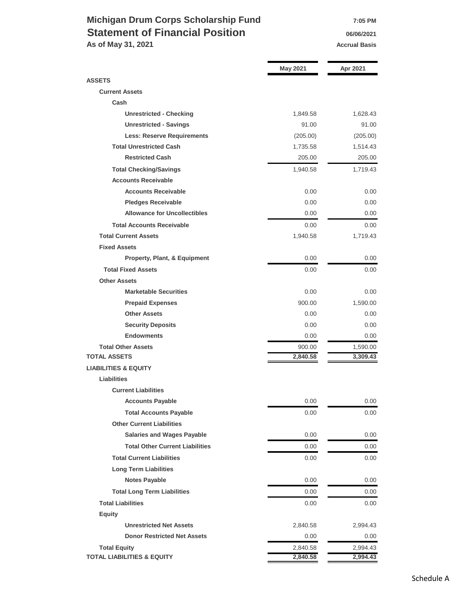## **Michigan Drum Corps Scholarship Fund 7:05 PM Statement of Financial Position 1976** 06/06/2021 As of May 31, 2021 **Accrual Basis Accrual Basis**

|                                         | <b>May 2021</b> | Apr 2021 |
|-----------------------------------------|-----------------|----------|
| <b>ASSETS</b>                           |                 |          |
| <b>Current Assets</b>                   |                 |          |
| Cash                                    |                 |          |
| <b>Unrestricted - Checking</b>          | 1,849.58        | 1,628.43 |
| <b>Unrestricted - Savings</b>           | 91.00           | 91.00    |
| <b>Less: Reserve Requirements</b>       | (205.00)        | (205.00) |
| <b>Total Unrestricted Cash</b>          | 1,735.58        | 1,514.43 |
| <b>Restricted Cash</b>                  | 205.00          | 205.00   |
| <b>Total Checking/Savings</b>           | 1,940.58        | 1,719.43 |
| <b>Accounts Receivable</b>              |                 |          |
| <b>Accounts Receivable</b>              | 0.00            | 0.00     |
| <b>Pledges Receivable</b>               | 0.00            | 0.00     |
| <b>Allowance for Uncollectibles</b>     | 0.00            | 0.00     |
| <b>Total Accounts Receivable</b>        | 0.00            | 0.00     |
| <b>Total Current Assets</b>             | 1,940.58        | 1,719.43 |
| <b>Fixed Assets</b>                     |                 |          |
| <b>Property, Plant, &amp; Equipment</b> | 0.00            | 0.00     |
| <b>Total Fixed Assets</b>               | 0.00            | 0.00     |
| <b>Other Assets</b>                     |                 |          |
| <b>Marketable Securities</b>            | 0.00            | 0.00     |
| <b>Prepaid Expenses</b>                 | 900.00          | 1,590.00 |
| <b>Other Assets</b>                     | 0.00            | 0.00     |
| <b>Security Deposits</b>                | 0.00            | 0.00     |
| <b>Endowments</b>                       | 0.00            | 0.00     |
| <b>Total Other Assets</b>               | 900.00          | 1,590.00 |
| <b>TOTAL ASSETS</b>                     | 2,840.58        | 3,309.43 |
| <b>LIABILITIES &amp; EQUITY</b>         |                 |          |
| <b>Liabilities</b>                      |                 |          |
| <b>Current Liabilities</b>              |                 |          |
| <b>Accounts Payable</b>                 | 0.00            | 0.00     |
| <b>Total Accounts Payable</b>           | 0.00            | 0.00     |
| <b>Other Current Liabilities</b>        |                 |          |
| <b>Salaries and Wages Payable</b>       | 0.00            | 0.00     |
| <b>Total Other Current Liabilities</b>  | 0.00            | 0.00     |
| <b>Total Current Liabilities</b>        | 0.00            | 0.00     |
| <b>Long Term Liabilities</b>            |                 |          |
| <b>Notes Payable</b>                    | 0.00            | 0.00     |
| <b>Total Long Term Liabilities</b>      | 0.00            | 0.00     |
| <b>Total Liabilities</b>                | 0.00            | 0.00     |
| <b>Equity</b>                           |                 |          |
| <b>Unrestricted Net Assets</b>          | 2,840.58        | 2,994.43 |
| <b>Donor Restricted Net Assets</b>      | 0.00            | 0.00     |
| <b>Total Equity</b>                     | 2,840.58        | 2,994.43 |
| <b>TOTAL LIABILITIES &amp; EQUITY</b>   | 2,840.58        | 2,994.43 |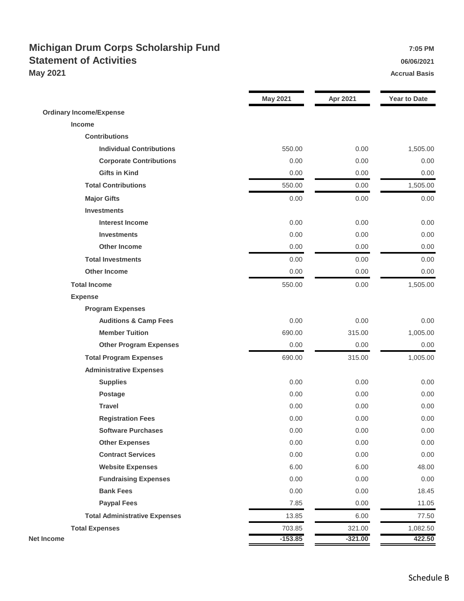## **Michigan Drum Corps Scholarship Fund** *PHOTER SCHOLARSHIP FUND* **7:05 PM Statement of Activities 06/06/2021 May 2021 Accrual Basis Accrual Basis Accrual Basis**

|                                      | <b>May 2021</b> | Apr 2021  | <b>Year to Date</b> |
|--------------------------------------|-----------------|-----------|---------------------|
| <b>Ordinary Income/Expense</b>       |                 |           |                     |
| Income                               |                 |           |                     |
| <b>Contributions</b>                 |                 |           |                     |
| <b>Individual Contributions</b>      | 550.00          | 0.00      | 1,505.00            |
| <b>Corporate Contributions</b>       | 0.00            | 0.00      | 0.00                |
| <b>Gifts in Kind</b>                 | 0.00            | 0.00      | 0.00                |
| <b>Total Contributions</b>           | 550.00          | 0.00      | 1,505.00            |
| <b>Major Gifts</b>                   | 0.00            | 0.00      | 0.00                |
| <b>Investments</b>                   |                 |           |                     |
| <b>Interest Income</b>               | 0.00            | 0.00      | 0.00                |
| <b>Investments</b>                   | 0.00            | 0.00      | 0.00                |
| <b>Other Income</b>                  | 0.00            | 0.00      | 0.00                |
| <b>Total Investments</b>             | 0.00            | 0.00      | 0.00                |
| <b>Other Income</b>                  | 0.00            | 0.00      | 0.00                |
| <b>Total Income</b>                  | 550.00          | 0.00      | 1,505.00            |
| <b>Expense</b>                       |                 |           |                     |
| <b>Program Expenses</b>              |                 |           |                     |
| <b>Auditions &amp; Camp Fees</b>     | 0.00            | 0.00      | 0.00                |
| <b>Member Tuition</b>                | 690.00          | 315.00    | 1,005.00            |
| <b>Other Program Expenses</b>        | 0.00            | 0.00      | 0.00                |
| <b>Total Program Expenses</b>        | 690.00          | 315.00    | 1,005.00            |
| <b>Administrative Expenses</b>       |                 |           |                     |
| <b>Supplies</b>                      | 0.00            | 0.00      | 0.00                |
| Postage                              | 0.00            | 0.00      | 0.00                |
| <b>Travel</b>                        | 0.00            | 0.00      | 0.00                |
| <b>Registration Fees</b>             | 0.00            | 0.00      | 0.00                |
| <b>Software Purchases</b>            | 0.00            | 0.00      | 0.00                |
| <b>Other Expenses</b>                | 0.00            | 0.00      | 0.00                |
| <b>Contract Services</b>             | 0.00            | 0.00      | 0.00                |
| <b>Website Expenses</b>              | 6.00            | 6.00      | 48.00               |
| <b>Fundraising Expenses</b>          | 0.00            | 0.00      | 0.00                |
| <b>Bank Fees</b>                     | 0.00            | 0.00      | 18.45               |
| <b>Paypal Fees</b>                   | 7.85            | 0.00      | 11.05               |
| <b>Total Administrative Expenses</b> | 13.85           | 6.00      | 77.50               |
| <b>Total Expenses</b>                | 703.85          | 321.00    | 1,082.50            |
| <b>Net Income</b>                    | $-153.85$       | $-321.00$ | 422.50              |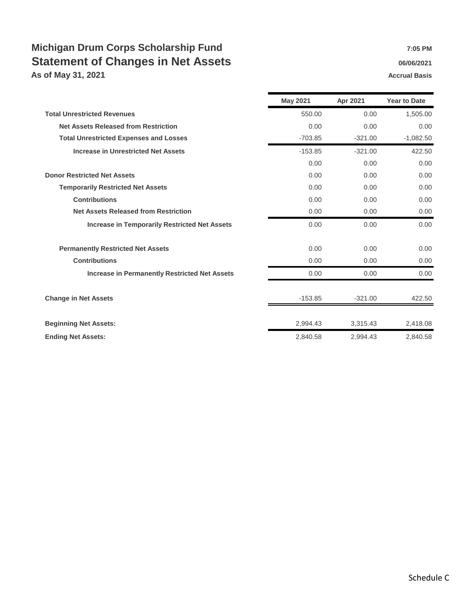# **Michigan Drum Corps Scholarship Fund** *PHOTER SCHOLARS PM 7:05 PM* **Statement of Changes in Net Assets 1988 1988 1988 1988 1988 1988 1988 1988 1988 1988 1988 1988 1988 1988 1988 1988 1988 1988 1988 1988 1988 1988 1988 1988 1988 1988 19**

**As of May 31, 2021 Accrual Basis Accrual Basis** 

|                                                      | <b>May 2021</b> | Apr 2021  | <b>Year to Date</b> |
|------------------------------------------------------|-----------------|-----------|---------------------|
| <b>Total Unrestricted Revenues</b>                   | 550.00          | 0.00      | 1,505.00            |
| <b>Net Assets Released from Restriction</b>          | 0.00            | 0.00      | 0.00                |
| <b>Total Unrestricted Expenses and Losses</b>        | $-703.85$       | $-321.00$ | $-1,082.50$         |
| <b>Increase in Unrestricted Net Assets</b>           | $-153.85$       | $-321.00$ | 422.50              |
|                                                      | 0.00            | 0.00      | 0.00                |
| <b>Donor Restricted Net Assets</b>                   | 0.00            | 0.00      | 0.00                |
| <b>Temporarily Restricted Net Assets</b>             | 0.00            | 0.00      | 0.00                |
| <b>Contributions</b>                                 | 0.00            | 0.00      | 0.00                |
| <b>Net Assets Released from Restriction</b>          | 0.00            | 0.00      | 0.00                |
| <b>Increase in Temporarily Restricted Net Assets</b> | 0.00            | 0.00      | 0.00                |
| <b>Permanently Restricted Net Assets</b>             | 0.00            | 0.00      | 0.00                |
| <b>Contributions</b>                                 | 0.00            | 0.00      | 0.00                |
| <b>Increase in Permanently Restricted Net Assets</b> | 0.00            | 0.00      | 0.00                |
| <b>Change in Net Assets</b>                          | $-153.85$       | $-321.00$ | 422.50              |
| <b>Beginning Net Assets:</b>                         | 2,994.43        | 3,315.43  | 2,418.08            |
| <b>Ending Net Assets:</b>                            | 2,840.58        | 2,994.43  | 2,840.58            |